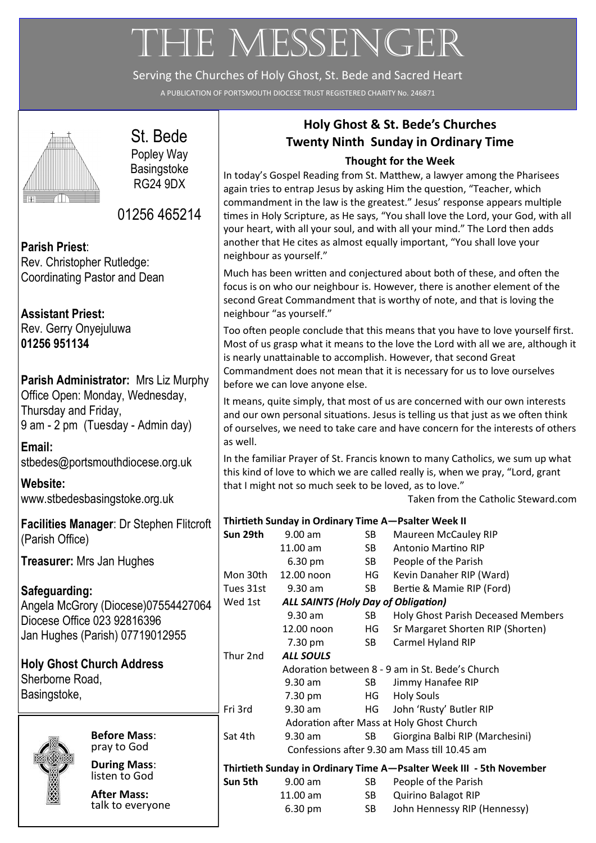# THE MESSENGER

Serving the Churches of Holy Ghost, St. Bede and Sacred Heart

A PUBLICATION OF PORTSMOUTH DIOCESE TRUST REGISTERED CHARITY No. 246871



# St. Bede Popley Way

**Basingstoke** RG24 9DX

01256 465214

**Parish Priest**: Rev. Christopher Rutledge: Coordinating Pastor and Dean

**Assistant Priest:** Rev. Gerry Onyejuluwa **01256 951134**

### **Parish Administrator:** Mrs Liz Murphy Office Open: Monday, Wednesday, Thursday and Friday, 9 am - 2 pm (Tuesday - Admin day)

**Email:**  [stbedes@portsmouthdiocese.org.uk](mailto:stbedes@portsmouthdiocese.org.uk)

**Website:**  [www.stbedesbasingstoke.org.uk](http://www.stbedesbasingstoke.org.uk)

**Facilities Manager**: Dr Stephen Flitcroft (Parish Office)

**Treasurer:** Mrs Jan Hughes

**Safeguarding:** Angela McGrory (Diocese)07554427064 Diocese Office 023 92816396 Jan Hughes (Parish) 07719012955

**Holy Ghost Church Address** Sherborne Road, Basingstoke,



**Before Mass**: pray to God

**During Mass**: listen to God

**After Mass:**  talk to everyone

# **Holy Ghost & St. Bede's Churches Twenty Ninth Sunday in Ordinary Time**

## **Thought for the Week**

In today's Gospel Reading from St. Matthew, a lawyer among the Pharisees again tries to entrap Jesus by asking Him the question, "Teacher, which commandment in the law is the greatest." Jesus' response appears multiple times in Holy Scripture, as He says, "You shall love the Lord, your God, with all your heart, with all your soul, and with all your mind." The Lord then adds another that He cites as almost equally important, "You shall love your neighbour as yourself."

Much has been written and conjectured about both of these, and often the focus is on who our neighbour is. However, there is another element of the second Great Commandment that is worthy of note, and that is loving the neighbour "as yourself."

Too often people conclude that this means that you have to love yourself first. Most of us grasp what it means to the love the Lord with all we are, although it is nearly unattainable to accomplish. However, that second Great Commandment does not mean that it is necessary for us to love ourselves before we can love anyone else.

It means, quite simply, that most of us are concerned with our own interests and our own personal situations. Jesus is telling us that just as we often think of ourselves, we need to take care and have concern for the interests of others as well.

In the familiar Prayer of St. Francis known to many Catholics, we sum up what this kind of love to which we are called really is, when we pray, "Lord, grant that I might not so much seek to be loved, as to love."

Taken from the Catholic Steward.com

|                                                       | Thirtieth Sunday in Ordinary Time A-Psalter Week II                 |                                                 |                                                                                                                                                                                                                                |                                           |
|-------------------------------------------------------|---------------------------------------------------------------------|-------------------------------------------------|--------------------------------------------------------------------------------------------------------------------------------------------------------------------------------------------------------------------------------|-------------------------------------------|
|                                                       | Sun 29th                                                            | 9.00 am                                         | SB                                                                                                                                                                                                                             | <b>Maureen McCauley RIP</b>               |
|                                                       |                                                                     | 11.00 am                                        | SB and the set of the set of the set of the set of the set of the set of the set of the set of the set of the set of the set of the set of the set of the set of the set of the set of the set of the set of the set of the se | Antonio Martino RIP                       |
|                                                       |                                                                     | 6.30 pm                                         | SB <sub>1</sub>                                                                                                                                                                                                                | People of the Parish                      |
|                                                       | Mon 30th                                                            | 12.00 noon                                      | HG -                                                                                                                                                                                                                           | Kevin Danaher RIP (Ward)                  |
|                                                       | Tues 31st                                                           | $9.30$ am                                       | SB                                                                                                                                                                                                                             | Bertie & Mamie RIP (Ford)                 |
| Wed 1st<br><b>ALL SAINTS (Holy Day of Obligation)</b> |                                                                     |                                                 |                                                                                                                                                                                                                                |                                           |
|                                                       |                                                                     | 9.30 am                                         | SB -                                                                                                                                                                                                                           | <b>Holy Ghost Parish Deceased Members</b> |
|                                                       |                                                                     | 12.00 noon                                      | HG                                                                                                                                                                                                                             | Sr Margaret Shorten RIP (Shorten)         |
|                                                       |                                                                     | 7.30 pm                                         | SB.                                                                                                                                                                                                                            | Carmel Hyland RIP                         |
|                                                       | Thur 2nd                                                            | <b>ALL SOULS</b>                                |                                                                                                                                                                                                                                |                                           |
|                                                       |                                                                     | Adoration between 8 - 9 am in St. Bede's Church |                                                                                                                                                                                                                                |                                           |
|                                                       |                                                                     | $9.30$ am                                       | SB and the set of the set of the set of the set of the set of the set of the set of the set of the set of the set of the set of the set of the set of the set of the set of the set of the set of the set of the set of the se | Jimmy Hanafee RIP                         |
|                                                       |                                                                     | 7.30 pm                                         | HG                                                                                                                                                                                                                             | <b>Holy Souls</b>                         |
|                                                       | Fri 3rd                                                             | $9.30$ am                                       | HG                                                                                                                                                                                                                             | John 'Rusty' Butler RIP                   |
|                                                       | Adoration after Mass at Holy Ghost Church                           |                                                 |                                                                                                                                                                                                                                |                                           |
|                                                       | Sat 4th                                                             | $9.30$ am                                       | SB                                                                                                                                                                                                                             | Giorgina Balbi RIP (Marchesini)           |
|                                                       | Confessions after 9.30 am Mass till 10.45 am                        |                                                 |                                                                                                                                                                                                                                |                                           |
|                                                       | Thirtieth Sunday in Ordinary Time A-Psalter Week III - 5th November |                                                 |                                                                                                                                                                                                                                |                                           |
|                                                       | Sun 5th                                                             | $9.00$ am                                       | SB                                                                                                                                                                                                                             | People of the Parish                      |
|                                                       |                                                                     | 11.00 am                                        | SB                                                                                                                                                                                                                             | <b>Quirino Balagot RIP</b>                |
|                                                       |                                                                     | 6.30 pm                                         | <b>SB</b>                                                                                                                                                                                                                      | John Hennessy RIP (Hennessy)              |